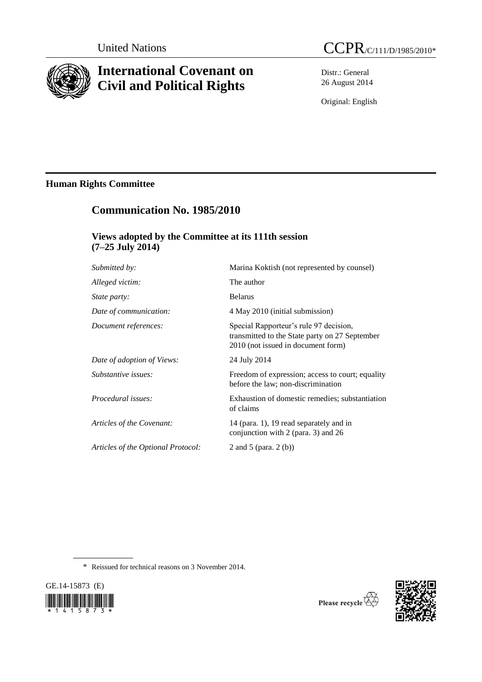

# **International Covenant on Civil and Political Rights**

Distr.: General 26 August 2014

Original: English

# **Human Rights Committee**

# **Communication No. 1985/2010**

## **Views adopted by the Committee at its 111th session (7–25 July 2014)**

| Submitted by:                      | Marina Koktish (not represented by counsel)                                                                                    |
|------------------------------------|--------------------------------------------------------------------------------------------------------------------------------|
| Alleged victim:                    | The author                                                                                                                     |
| <i>State party:</i>                | <b>Belarus</b>                                                                                                                 |
| Date of communication:             | 4 May 2010 (initial submission)                                                                                                |
| Document references:               | Special Rapporteur's rule 97 decision,<br>transmitted to the State party on 27 September<br>2010 (not issued in document form) |
| Date of adoption of Views:         | 24 July 2014                                                                                                                   |
| Substantive issues:                | Freedom of expression; access to court; equality<br>before the law; non-discrimination                                         |
| Procedural issues:                 | Exhaustion of domestic remedies; substantiation<br>of claims                                                                   |
| Articles of the Covenant:          | 14 (para. 1), 19 read separately and in<br>conjunction with 2 (para. 3) and 26                                                 |
| Articles of the Optional Protocol: | 2 and 5 (para. $2(b)$ )                                                                                                        |
|                                    |                                                                                                                                |

\* Reissued for technical reasons on 3 November 2014.



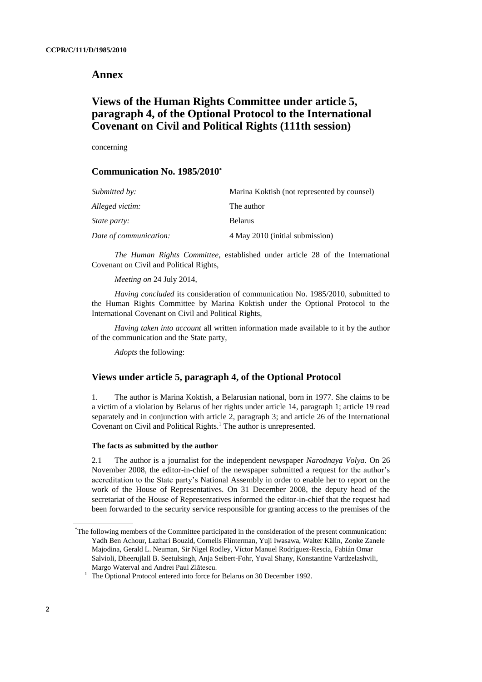### **Annex**

## **Views of the Human Rights Committee under article 5, paragraph 4, of the Optional Protocol to the International Covenant on Civil and Political Rights (111th session)**

concerning

## **Communication No. 1985/2010\***

| Submitted by:          | Marina Koktish (not represented by counsel) |
|------------------------|---------------------------------------------|
| Alleged victim:        | The author                                  |
| <i>State party:</i>    | <b>Belarus</b>                              |
| Date of communication: | 4 May 2010 (initial submission)             |

*The Human Rights Committee*, established under article 28 of the International Covenant on Civil and Political Rights,

*Meeting on* 24 July 2014,

*Having concluded* its consideration of communication No. 1985/2010, submitted to the Human Rights Committee by Marina Koktish under the Optional Protocol to the International Covenant on Civil and Political Rights,

*Having taken into account* all written information made available to it by the author of the communication and the State party,

*Adopts* the following:

### **Views under article 5, paragraph 4, of the Optional Protocol**

1. The author is Marina Koktish, a Belarusian national, born in 1977. She claims to be a victim of a violation by Belarus of her rights under article 14, paragraph 1; article 19 read separately and in conjunction with article 2, paragraph 3; and article 26 of the International Covenant on Civil and Political Rights.<sup>1</sup> The author is unrepresented.

#### **The facts as submitted by the author**

2.1 The author is a journalist for the independent newspaper *Narodnaya Volya*. On 26 November 2008, the editor-in-chief of the newspaper submitted a request for the author's accreditation to the State party's National Assembly in order to enable her to report on the work of the House of Representatives. On 31 December 2008, the deputy head of the secretariat of the House of Representatives informed the editor-in-chief that the request had been forwarded to the security service responsible for granting access to the premises of the

<sup>\*</sup>The following members of the Committee participated in the consideration of the present communication: Yadh Ben Achour, Lazhari Bouzid, Cornelis Flinterman, Yuji Iwasawa, Walter Kälin, Zonke Zanele Majodina, Gerald L. Neuman, Sir Nigel Rodley, Víctor Manuel Rodríguez-Rescia, Fabián Omar Salvioli, Dheerujlall B. Seetulsingh, Anja Seibert-Fohr, Yuval Shany, Konstantine Vardzelashvili, Margo Waterval and Andrei Paul Zlătescu.

<sup>&</sup>lt;sup>1</sup> The Optional Protocol entered into force for Belarus on 30 December 1992.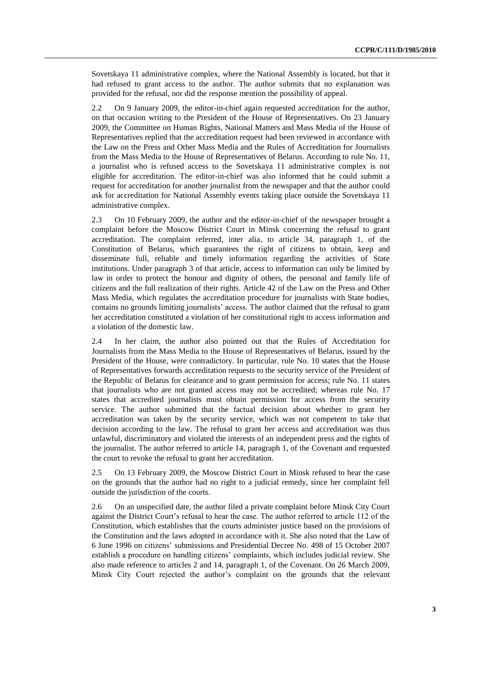Sovetskaya 11 administrative complex, where the National Assembly is located, but that it had refused to grant access to the author. The author submits that no explanation was provided for the refusal, nor did the response mention the possibility of appeal.

2.2 On 9 January 2009, the editor-in-chief again requested accreditation for the author, on that occasion writing to the President of the House of Representatives. On 23 January 2009, the Committee on Human Rights, National Matters and Mass Media of the House of Representatives replied that the accreditation request had been reviewed in accordance with the Law on the Press and Other Mass Media and the Rules of Accreditation for Journalists from the Mass Media to the House of Representatives of Belarus. According to rule No. 11, a journalist who is refused access to the Sovetskaya 11 administrative complex is not eligible for accreditation. The editor-in-chief was also informed that he could submit a request for accreditation for another journalist from the newspaper and that the author could ask for accreditation for National Assembly events taking place outside the Sovetskaya 11 administrative complex.

2.3 On 10 February 2009, the author and the editor-in-chief of the newspaper brought a complaint before the Moscow District Court in Minsk concerning the refusal to grant accreditation. The complaint referred, inter alia, to article 34, paragraph 1, of the Constitution of Belarus, which guarantees the right of citizens to obtain, keep and disseminate full, reliable and timely information regarding the activities of State institutions. Under paragraph 3 of that article, access to information can only be limited by law in order to protect the honour and dignity of others, the personal and family life of citizens and the full realization of their rights. Article 42 of the Law on the Press and Other Mass Media, which regulates the accreditation procedure for journalists with State bodies, contains no grounds limiting journalists' access. The author claimed that the refusal to grant her accreditation constituted a violation of her constitutional right to access information and a violation of the domestic law.

2.4 In her claim, the author also pointed out that the Rules of Accreditation for Journalists from the Mass Media to the House of Representatives of Belarus, issued by the President of the House, were contradictory. In particular, rule No. 10 states that the House of Representatives forwards accreditation requests to the security service of the President of the Republic of Belarus for clearance and to grant permission for access; rule No. 11 states that journalists who are not granted access may not be accredited; whereas rule No. 17 states that accredited journalists must obtain permission for access from the security service. The author submitted that the factual decision about whether to grant her accreditation was taken by the security service, which was not competent to take that decision according to the law. The refusal to grant her access and accreditation was thus unlawful, discriminatory and violated the interests of an independent press and the rights of the journalist. The author referred to article 14, paragraph 1, of the Covenant and requested the court to revoke the refusal to grant her accreditation.

2.5 On 13 February 2009, the Moscow District Court in Minsk refused to hear the case on the grounds that the author had no right to a judicial remedy, since her complaint fell outside the jurisdiction of the courts.

2.6 On an unspecified date, the author filed a private complaint before Minsk City Court against the District Court's refusal to hear the case. The author referred to article 112 of the Constitution, which establishes that the courts administer justice based on the provisions of the Constitution and the laws adopted in accordance with it. She also noted that the Law of 6 June 1996 on citizens' submissions and Presidential Decree No. 498 of 15 October 2007 establish a procedure on handling citizens' complaints, which includes judicial review. She also made reference to articles 2 and 14, paragraph 1, of the Covenant. On 26 March 2009, Minsk City Court rejected the author's complaint on the grounds that the relevant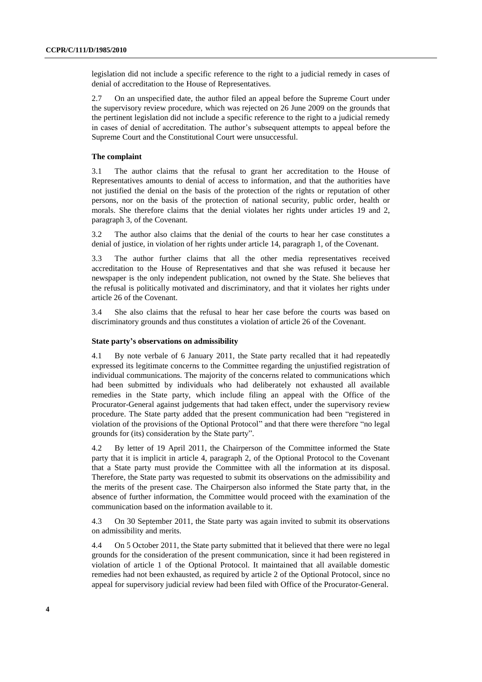legislation did not include a specific reference to the right to a judicial remedy in cases of denial of accreditation to the House of Representatives.

2.7 On an unspecified date, the author filed an appeal before the Supreme Court under the supervisory review procedure, which was rejected on 26 June 2009 on the grounds that the pertinent legislation did not include a specific reference to the right to a judicial remedy in cases of denial of accreditation. The author's subsequent attempts to appeal before the Supreme Court and the Constitutional Court were unsuccessful.

#### **The complaint**

3.1 The author claims that the refusal to grant her accreditation to the House of Representatives amounts to denial of access to information, and that the authorities have not justified the denial on the basis of the protection of the rights or reputation of other persons, nor on the basis of the protection of national security, public order, health or morals. She therefore claims that the denial violates her rights under articles 19 and 2, paragraph 3, of the Covenant.

3.2 The author also claims that the denial of the courts to hear her case constitutes a denial of justice, in violation of her rights under article 14, paragraph 1, of the Covenant.

3.3 The author further claims that all the other media representatives received accreditation to the House of Representatives and that she was refused it because her newspaper is the only independent publication, not owned by the State. She believes that the refusal is politically motivated and discriminatory, and that it violates her rights under article 26 of the Covenant.

3.4 She also claims that the refusal to hear her case before the courts was based on discriminatory grounds and thus constitutes a violation of article 26 of the Covenant.

#### **State party's observations on admissibility**

4.1 By note verbale of 6 January 2011, the State party recalled that it had repeatedly expressed its legitimate concerns to the Committee regarding the unjustified registration of individual communications. The majority of the concerns related to communications which had been submitted by individuals who had deliberately not exhausted all available remedies in the State party, which include filing an appeal with the Office of the Procurator-General against judgements that had taken effect, under the supervisory review procedure. The State party added that the present communication had been "registered in violation of the provisions of the Optional Protocol" and that there were therefore "no legal grounds for (its) consideration by the State party".

4.2 By letter of 19 April 2011, the Chairperson of the Committee informed the State party that it is implicit in article 4, paragraph 2, of the Optional Protocol to the Covenant that a State party must provide the Committee with all the information at its disposal. Therefore, the State party was requested to submit its observations on the admissibility and the merits of the present case. The Chairperson also informed the State party that, in the absence of further information, the Committee would proceed with the examination of the communication based on the information available to it.

4.3 On 30 September 2011, the State party was again invited to submit its observations on admissibility and merits.

4.4 On 5 October 2011, the State party submitted that it believed that there were no legal grounds for the consideration of the present communication, since it had been registered in violation of article 1 of the Optional Protocol. It maintained that all available domestic remedies had not been exhausted, as required by article 2 of the Optional Protocol, since no appeal for supervisory judicial review had been filed with Office of the Procurator-General.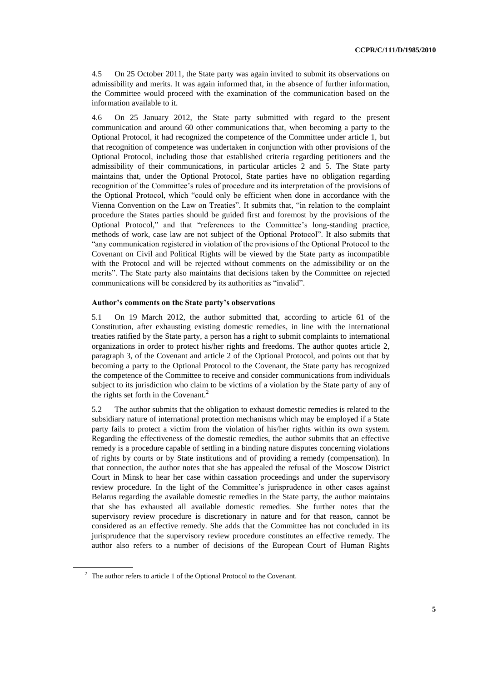4.5 On 25 October 2011, the State party was again invited to submit its observations on admissibility and merits. It was again informed that, in the absence of further information, the Committee would proceed with the examination of the communication based on the information available to it.

4.6 On 25 January 2012, the State party submitted with regard to the present communication and around 60 other communications that, when becoming a party to the Optional Protocol, it had recognized the competence of the Committee under article 1, but that recognition of competence was undertaken in conjunction with other provisions of the Optional Protocol, including those that established criteria regarding petitioners and the admissibility of their communications, in particular articles 2 and 5. The State party maintains that, under the Optional Protocol, State parties have no obligation regarding recognition of the Committee's rules of procedure and its interpretation of the provisions of the Optional Protocol, which "could only be efficient when done in accordance with the Vienna Convention on the Law on Treaties". It submits that, "in relation to the complaint procedure the States parties should be guided first and foremost by the provisions of the Optional Protocol," and that "references to the Committee's long-standing practice, methods of work, case law are not subject of the Optional Protocol". It also submits that "any communication registered in violation of the provisions of the Optional Protocol to the Covenant on Civil and Political Rights will be viewed by the State party as incompatible with the Protocol and will be rejected without comments on the admissibility or on the merits". The State party also maintains that decisions taken by the Committee on rejected communications will be considered by its authorities as "invalid".

#### **Author's comments on the State party's observations**

5.1 On 19 March 2012, the author submitted that, according to article 61 of the Constitution, after exhausting existing domestic remedies, in line with the international treaties ratified by the State party, a person has a right to submit complaints to international organizations in order to protect his/her rights and freedoms. The author quotes article 2, paragraph 3, of the Covenant and article 2 of the Optional Protocol, and points out that by becoming a party to the Optional Protocol to the Covenant, the State party has recognized the competence of the Committee to receive and consider communications from individuals subject to its jurisdiction who claim to be victims of a violation by the State party of any of the rights set forth in the Covenant.<sup>2</sup>

5.2 The author submits that the obligation to exhaust domestic remedies is related to the subsidiary nature of international protection mechanisms which may be employed if a State party fails to protect a victim from the violation of his/her rights within its own system. Regarding the effectiveness of the domestic remedies, the author submits that an effective remedy is a procedure capable of settling in a binding nature disputes concerning violations of rights by courts or by State institutions and of providing a remedy (compensation). In that connection, the author notes that she has appealed the refusal of the Moscow District Court in Minsk to hear her case within cassation proceedings and under the supervisory review procedure. In the light of the Committee's jurisprudence in other cases against Belarus regarding the available domestic remedies in the State party, the author maintains that she has exhausted all available domestic remedies. She further notes that the supervisory review procedure is discretionary in nature and for that reason, cannot be considered as an effective remedy. She adds that the Committee has not concluded in its jurisprudence that the supervisory review procedure constitutes an effective remedy. The author also refers to a number of decisions of the European Court of Human Rights

 $2\degree$  The author refers to article 1 of the Optional Protocol to the Covenant.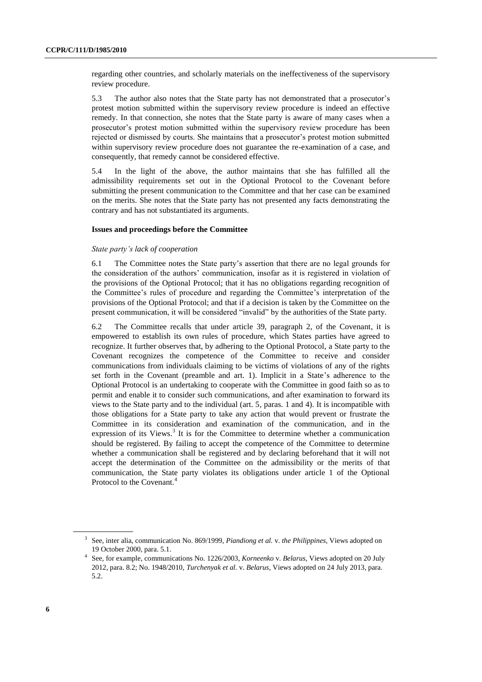regarding other countries, and scholarly materials on the ineffectiveness of the supervisory review procedure.

5.3 The author also notes that the State party has not demonstrated that a prosecutor's protest motion submitted within the supervisory review procedure is indeed an effective remedy. In that connection, she notes that the State party is aware of many cases when a prosecutor's protest motion submitted within the supervisory review procedure has been rejected or dismissed by courts. She maintains that a prosecutor's protest motion submitted within supervisory review procedure does not guarantee the re-examination of a case, and consequently, that remedy cannot be considered effective.

5.4 In the light of the above, the author maintains that she has fulfilled all the admissibility requirements set out in the Optional Protocol to the Covenant before submitting the present communication to the Committee and that her case can be examined on the merits. She notes that the State party has not presented any facts demonstrating the contrary and has not substantiated its arguments.

#### **Issues and proceedings before the Committee**

#### *State party's lack of cooperation*

6.1 The Committee notes the State party's assertion that there are no legal grounds for the consideration of the authors' communication, insofar as it is registered in violation of the provisions of the Optional Protocol; that it has no obligations regarding recognition of the Committee's rules of procedure and regarding the Committee's interpretation of the provisions of the Optional Protocol; and that if a decision is taken by the Committee on the present communication, it will be considered "invalid" by the authorities of the State party.

6.2 The Committee recalls that under article 39, paragraph 2, of the Covenant, it is empowered to establish its own rules of procedure, which States parties have agreed to recognize. It further observes that, by adhering to the Optional Protocol, a State party to the Covenant recognizes the competence of the Committee to receive and consider communications from individuals claiming to be victims of violations of any of the rights set forth in the Covenant (preamble and art. 1). Implicit in a State's adherence to the Optional Protocol is an undertaking to cooperate with the Committee in good faith so as to permit and enable it to consider such communications, and after examination to forward its views to the State party and to the individual (art. 5, paras. 1 and 4). It is incompatible with those obligations for a State party to take any action that would prevent or frustrate the Committee in its consideration and examination of the communication, and in the expression of its Views.<sup>3</sup> It is for the Committee to determine whether a communication should be registered. By failing to accept the competence of the Committee to determine whether a communication shall be registered and by declaring beforehand that it will not accept the determination of the Committee on the admissibility or the merits of that communication, the State party violates its obligations under article 1 of the Optional Protocol to the Covenant.<sup>4</sup>

<sup>3</sup> See, inter alia, communication No. 869/1999, *Piandiong et al.* v. *the Philippines*, Views adopted on 19 October 2000, para. 5.1.

<sup>4</sup> See, for example, communications No. 1226/2003, *Korneenko* v. *Belarus*, Views adopted on 20 July 2012, para. 8.2; No. 1948/2010, *Turchenyak et al.* v. *Belarus*, Views adopted on 24 July 2013, para. 5.2.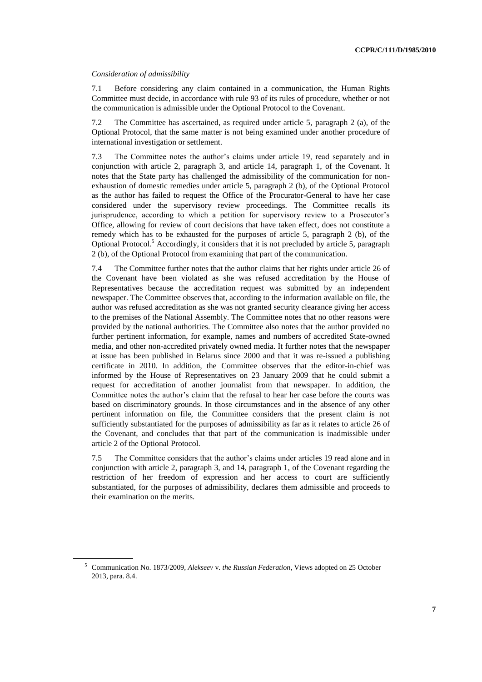#### *Consideration of admissibility*

7.1 Before considering any claim contained in a communication, the Human Rights Committee must decide, in accordance with rule 93 of its rules of procedure, whether or not the communication is admissible under the Optional Protocol to the Covenant.

7.2 The Committee has ascertained, as required under article 5, paragraph 2 (a), of the Optional Protocol, that the same matter is not being examined under another procedure of international investigation or settlement.

7.3 The Committee notes the author's claims under article 19, read separately and in conjunction with article 2, paragraph 3, and article 14, paragraph 1, of the Covenant. It notes that the State party has challenged the admissibility of the communication for nonexhaustion of domestic remedies under article 5, paragraph 2 (b), of the Optional Protocol as the author has failed to request the Office of the Procurator-General to have her case considered under the supervisory review proceedings. The Committee recalls its jurisprudence, according to which a petition for supervisory review to a Prosecutor's Office, allowing for review of court decisions that have taken effect, does not constitute a remedy which has to be exhausted for the purposes of article 5, paragraph 2 (b), of the Optional Protocol.<sup>5</sup> Accordingly, it considers that it is not precluded by article 5, paragraph 2 (b), of the Optional Protocol from examining that part of the communication.

7.4 The Committee further notes that the author claims that her rights under article 26 of the Covenant have been violated as she was refused accreditation by the House of Representatives because the accreditation request was submitted by an independent newspaper. The Committee observes that, according to the information available on file, the author was refused accreditation as she was not granted security clearance giving her access to the premises of the National Assembly. The Committee notes that no other reasons were provided by the national authorities. The Committee also notes that the author provided no further pertinent information, for example, names and numbers of accredited State-owned media, and other non-accredited privately owned media. It further notes that the newspaper at issue has been published in Belarus since 2000 and that it was re-issued a publishing certificate in 2010. In addition, the Committee observes that the editor-in-chief was informed by the House of Representatives on 23 January 2009 that he could submit a request for accreditation of another journalist from that newspaper. In addition, the Committee notes the author's claim that the refusal to hear her case before the courts was based on discriminatory grounds. In those circumstances and in the absence of any other pertinent information on file, the Committee considers that the present claim is not sufficiently substantiated for the purposes of admissibility as far as it relates to article 26 of the Covenant, and concludes that that part of the communication is inadmissible under article 2 of the Optional Protocol.

7.5 The Committee considers that the author's claims under articles 19 read alone and in conjunction with article 2, paragraph 3, and 14, paragraph 1, of the Covenant regarding the restriction of her freedom of expression and her access to court are sufficiently substantiated, for the purposes of admissibility, declares them admissible and proceeds to their examination on the merits.

<sup>5</sup> Communication No. 1873/2009, *Alekseev* v. *the Russian Federation*, Views adopted on 25 October 2013, para. 8.4.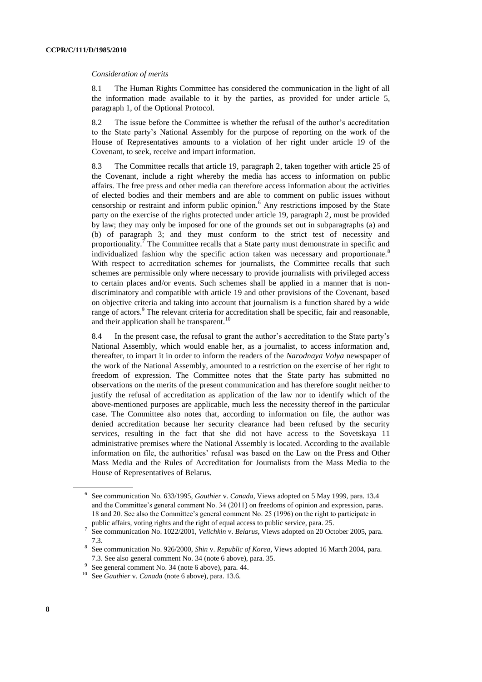#### *Consideration of merits*

8.1 The Human Rights Committee has considered the communication in the light of all the information made available to it by the parties, as provided for under article 5, paragraph 1, of the Optional Protocol.

8.2 The issue before the Committee is whether the refusal of the author's accreditation to the State party's National Assembly for the purpose of reporting on the work of the House of Representatives amounts to a violation of her right under article 19 of the Covenant, to seek, receive and impart information.

8.3 The Committee recalls that article 19, paragraph 2, taken together with article 25 of the Covenant, include a right whereby the media has access to information on public affairs. The free press and other media can therefore access information about the activities of elected bodies and their members and are able to comment on public issues without censorship or restraint and inform public opinion.<sup>6</sup> Any restrictions imposed by the State party on the exercise of the rights protected under article 19, paragraph 2, must be provided by law; they may only be imposed for one of the grounds set out in subparagraphs (a) and (b) of paragraph 3; and they must conform to the strict test of necessity and proportionality.<sup>7</sup> The Committee recalls that a State party must demonstrate in specific and individualized fashion why the specific action taken was necessary and proportionate.<sup>8</sup> With respect to accreditation schemes for journalists, the Committee recalls that such schemes are permissible only where necessary to provide journalists with privileged access to certain places and/or events. Such schemes shall be applied in a manner that is nondiscriminatory and compatible with article 19 and other provisions of the Covenant, based on objective criteria and taking into account that journalism is a function shared by a wide range of actors.<sup>9</sup> The relevant criteria for accreditation shall be specific, fair and reasonable, and their application shall be transparent.<sup>10</sup>

8.4 In the present case, the refusal to grant the author's accreditation to the State party's National Assembly, which would enable her, as a journalist, to access information and, thereafter, to impart it in order to inform the readers of the *Narodnaya Volya* newspaper of the work of the National Assembly, amounted to a restriction on the exercise of her right to freedom of expression. The Committee notes that the State party has submitted no observations on the merits of the present communication and has therefore sought neither to justify the refusal of accreditation as application of the law nor to identify which of the above-mentioned purposes are applicable, much less the necessity thereof in the particular case. The Committee also notes that, according to information on file, the author was denied accreditation because her security clearance had been refused by the security services, resulting in the fact that she did not have access to the Sovetskaya 11 administrative premises where the National Assembly is located. According to the available information on file, the authorities' refusal was based on the Law on the Press and Other Mass Media and the Rules of Accreditation for Journalists from the Mass Media to the House of Representatives of Belarus.

<sup>6</sup> See communication No. 633/1995, *Gauthier* v. *Canada*, Views adopted on 5 May 1999, para. 13.4 and the Committee's general comment No. 34 (2011) on freedoms of opinion and expression, paras. 18 and 20. See also the Committee's general comment No. 25 (1996) on the right to participate in public affairs, voting rights and the right of equal access to public service, para. 25.

<sup>7</sup> See communication No. 1022/2001, *Velichkin* v. *Belarus*, Views adopted on 20 October 2005, para. 7.3.

<sup>8</sup> See communication No. 926/2000, *Shin* v. *Republic of Korea,* Views adopted 16 March 2004, para. 7.3. See also general comment No. 34 (note 6 above), para. 35.

<sup>9</sup> See general comment No. 34 (note 6 above), para. 44.

<sup>10</sup> See *Gauthier* v. *Canada* (note 6 above), para. 13.6.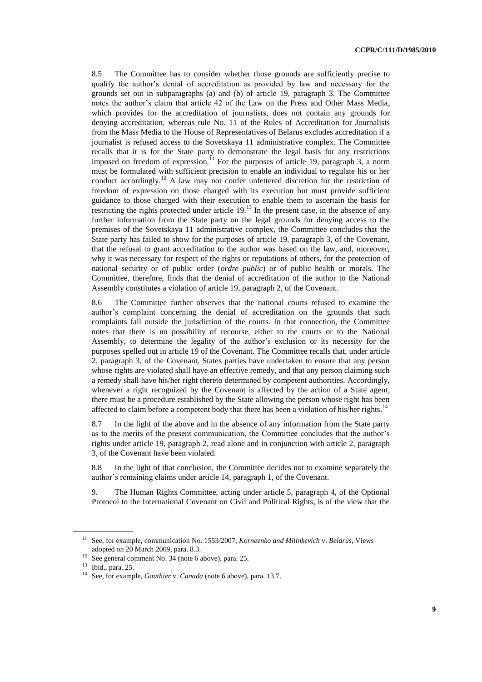8.5 The Committee has to consider whether those grounds are sufficiently precise to qualify the author's denial of accreditation as provided by law and necessary for the grounds set out in subparagraphs (a) and (b) of article 19, paragraph 3. The Committee notes the author's claim that article 42 of the Law on the Press and Other Mass Media, which provides for the accreditation of journalists, does not contain any grounds for denying accreditation, whereas rule No. 11 of the Rules of Accreditation for Journalists from the Mass Media to the House of Representatives of Belarus excludes accreditation if a journalist is refused access to the Sovetskaya 11 administrative complex. The Committee recalls that it is for the State party to demonstrate the legal basis for any restrictions imposed on freedom of expression.<sup>11</sup> For the purposes of article 19, paragraph 3, a norm must be formulated with sufficient precision to enable an individual to regulate his or her conduct accordingly.<sup>12</sup> A law may not confer unfettered discretion for the restriction of freedom of expression on those charged with its execution but must provide sufficient guidance to those charged with their execution to enable them to ascertain the basis for restricting the rights protected under article  $19<sup>13</sup>$  In the present case, in the absence of any further information from the State party on the legal grounds for denying access to the premises of the Sovetskaya 11 administrative complex, the Committee concludes that the State party has failed to show for the purposes of article 19, paragraph 3, of the Covenant, that the refusal to grant accreditation to the author was based on the law, and, moreover, why it was necessary for respect of the rights or reputations of others, for the protection of national security or of public order (*ordre public*) or of public health or morals. The Committee, therefore, finds that the denial of accreditation of the author to the National Assembly constitutes a violation of article 19, paragraph 2, of the Covenant.

8.6 The Committee further observes that the national courts refused to examine the author's complaint concerning the denial of accreditation on the grounds that such complaints fall outside the jurisdiction of the courts. In that connection, the Committee notes that there is no possibility of recourse, either to the courts or to the National Assembly, to determine the legality of the author's exclusion or its necessity for the purposes spelled out in article 19 of the Covenant. The Committee recalls that, under article 2, paragraph 3, of the Covenant, States parties have undertaken to ensure that any person whose rights are violated shall have an effective remedy, and that any person claiming such a remedy shall have his/her right thereto determined by competent authorities. Accordingly, whenever a right recognized by the Covenant is affected by the action of a State agent, there must be a procedure established by the State allowing the person whose right has been affected to claim before a competent body that there has been a violation of his/her rights.<sup>14</sup>

8.7 In the light of the above and in the absence of any information from the State party as to the merits of the present communication, the Committee concludes that the author's rights under article 19, paragraph 2, read alone and in conjunction with article 2, paragraph 3, of the Covenant have been violated.

8.8 In the light of that conclusion, the Committee decides not to examine separately the author's remaining claims under article 14, paragraph 1, of the Covenant.

9. The Human Rights Committee, acting under article 5, paragraph 4, of the Optional Protocol to the International Covenant on Civil and Political Rights, is of the view that the

<sup>11</sup> See, for example, communication No. 1553/2007, *Korneenko and Milinkevich* v. *Belarus*, Views adopted on 20 March 2009, para. 8.3.

<sup>12</sup> See general comment No. 34 (note 6 above), para. 25.

<sup>13</sup> Ibid., para. 25.

<sup>14</sup> See, for example, *Gauthier* v. *Canada* (note 6 above), para. 13.7.